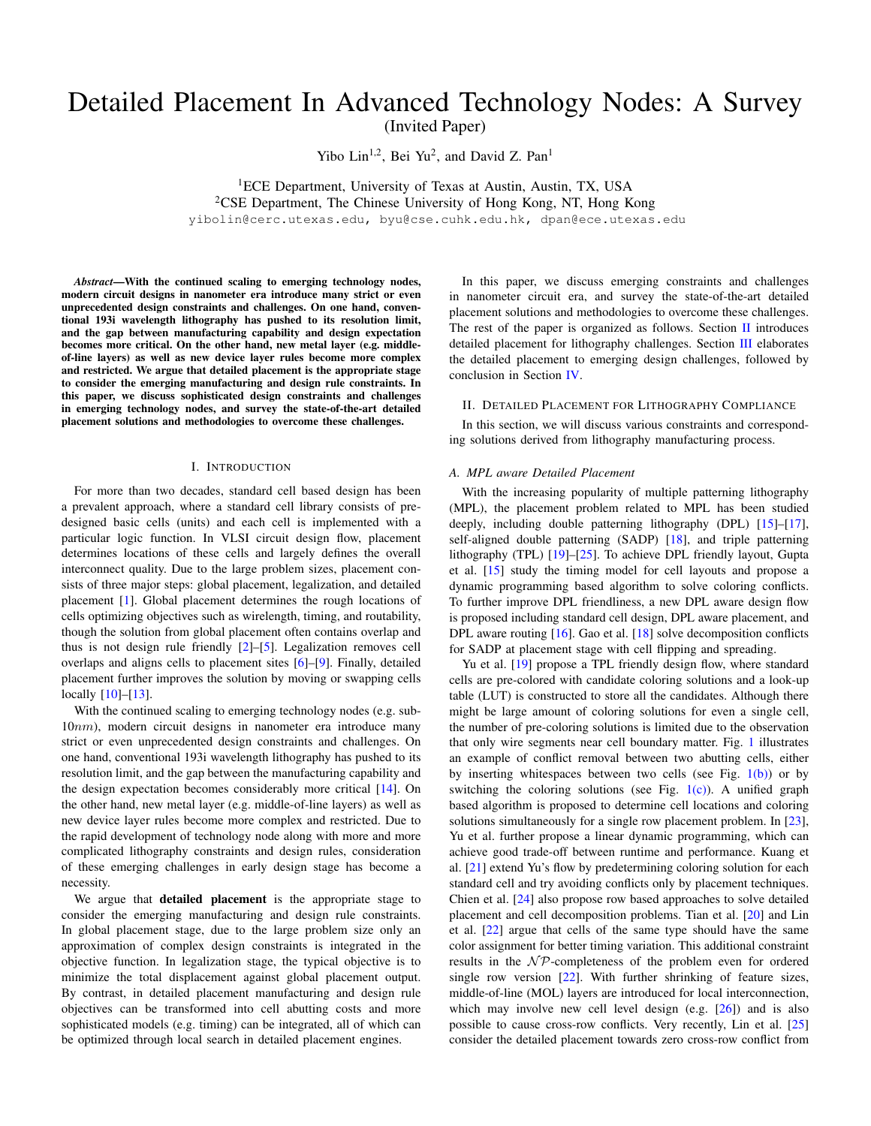# Detailed Placement In Advanced Technology Nodes: A Survey

(Invited Paper)

Yibo Lin<sup>1,2</sup>, Bei Yu<sup>2</sup>, and David Z. Pan<sup>1</sup>

<sup>1</sup>ECE Department, University of Texas at Austin, Austin, TX, USA <sup>2</sup>CSE Department, The Chinese University of Hong Kong, NT, Hong Kong yibolin@cerc.utexas.edu, byu@cse.cuhk.edu.hk, dpan@ece.utexas.edu

*Abstract*—With the continued scaling to emerging technology nodes, modern circuit designs in nanometer era introduce many strict or even unprecedented design constraints and challenges. On one hand, conventional 193i wavelength lithography has pushed to its resolution limit, and the gap between manufacturing capability and design expectation becomes more critical. On the other hand, new metal layer (e.g. middleof-line layers) as well as new device layer rules become more complex and restricted. We argue that detailed placement is the appropriate stage to consider the emerging manufacturing and design rule constraints. In this paper, we discuss sophisticated design constraints and challenges in emerging technology nodes, and survey the state-of-the-art detailed placement solutions and methodologies to overcome these challenges.

## I. INTRODUCTION

For more than two decades, standard cell based design has been a prevalent approach, where a standard cell library consists of predesigned basic cells (units) and each cell is implemented with a particular logic function. In VLSI circuit design flow, placement determines locations of these cells and largely defines the overall interconnect quality. Due to the large problem sizes, placement consists of three major steps: global placement, legalization, and detailed placement [\[1\]](#page-3-0). Global placement determines the rough locations of cells optimizing objectives such as wirelength, timing, and routability, though the solution from global placement often contains overlap and thus is not design rule friendly [\[2\]](#page-3-1)–[\[5\]](#page-3-2). Legalization removes cell overlaps and aligns cells to placement sites [\[6\]](#page-3-3)–[\[9\]](#page-3-4). Finally, detailed placement further improves the solution by moving or swapping cells locally [\[10\]](#page-3-5)–[\[13\]](#page-3-6).

With the continued scaling to emerging technology nodes (e.g. sub-10nm), modern circuit designs in nanometer era introduce many strict or even unprecedented design constraints and challenges. On one hand, conventional 193i wavelength lithography has pushed to its resolution limit, and the gap between the manufacturing capability and the design expectation becomes considerably more critical [\[14\]](#page-3-7). On the other hand, new metal layer (e.g. middle-of-line layers) as well as new device layer rules become more complex and restricted. Due to the rapid development of technology node along with more and more complicated lithography constraints and design rules, consideration of these emerging challenges in early design stage has become a necessity.

We argue that detailed placement is the appropriate stage to consider the emerging manufacturing and design rule constraints. In global placement stage, due to the large problem size only an approximation of complex design constraints is integrated in the objective function. In legalization stage, the typical objective is to minimize the total displacement against global placement output. By contrast, in detailed placement manufacturing and design rule objectives can be transformed into cell abutting costs and more sophisticated models (e.g. timing) can be integrated, all of which can be optimized through local search in detailed placement engines.

In this paper, we discuss emerging constraints and challenges in nanometer circuit era, and survey the state-of-the-art detailed placement solutions and methodologies to overcome these challenges. The rest of the paper is organized as follows. Section  $II$  introduces detailed placement for lithography challenges. Section [III](#page-1-0) elaborates the detailed placement to emerging design challenges, followed by conclusion in Section [IV.](#page-3-8)

## <span id="page-0-0"></span>II. DETAILED PLACEMENT FOR LITHOGRAPHY COMPLIANCE

In this section, we will discuss various constraints and corresponding solutions derived from lithography manufacturing process.

#### *A. MPL aware Detailed Placement*

With the increasing popularity of multiple patterning lithography (MPL), the placement problem related to MPL has been studied deeply, including double patterning lithography (DPL) [\[15\]](#page-3-9)-[\[17\]](#page-3-10), self-aligned double patterning (SADP) [\[18\]](#page-3-11), and triple patterning lithography (TPL) [\[19\]](#page-3-12)–[\[25\]](#page-3-13). To achieve DPL friendly layout, Gupta et al. [\[15\]](#page-3-9) study the timing model for cell layouts and propose a dynamic programming based algorithm to solve coloring conflicts. To further improve DPL friendliness, a new DPL aware design flow is proposed including standard cell design, DPL aware placement, and DPL aware routing [\[16\]](#page-3-14). Gao et al. [\[18\]](#page-3-11) solve decomposition conflicts for SADP at placement stage with cell flipping and spreading.

Yu et al. [\[19\]](#page-3-12) propose a TPL friendly design flow, where standard cells are pre-colored with candidate coloring solutions and a look-up table (LUT) is constructed to store all the candidates. Although there might be large amount of coloring solutions for even a single cell, the number of pre-coloring solutions is limited due to the observation that only wire segments near cell boundary matter. Fig. [1](#page-1-1) illustrates an example of conflict removal between two abutting cells, either by inserting whitespaces between two cells (see Fig. [1\(b\)\)](#page-1-2) or by switching the coloring solutions (see Fig.  $1(c)$ ). A unified graph based algorithm is proposed to determine cell locations and coloring solutions simultaneously for a single row placement problem. In [\[23\]](#page-3-15), Yu et al. further propose a linear dynamic programming, which can achieve good trade-off between runtime and performance. Kuang et al. [\[21\]](#page-3-16) extend Yu's flow by predetermining coloring solution for each standard cell and try avoiding conflicts only by placement techniques. Chien et al. [\[24\]](#page-3-17) also propose row based approaches to solve detailed placement and cell decomposition problems. Tian et al. [\[20\]](#page-3-18) and Lin et al. [\[22\]](#page-3-19) argue that cells of the same type should have the same color assignment for better timing variation. This additional constraint results in the  $N\mathcal{P}$ -completeness of the problem even for ordered single row version [\[22\]](#page-3-19). With further shrinking of feature sizes, middle-of-line (MOL) layers are introduced for local interconnection, which may involve new cell level design  $(e.g. [26])$  $(e.g. [26])$  $(e.g. [26])$  and is also possible to cause cross-row conflicts. Very recently, Lin et al. [\[25\]](#page-3-13) consider the detailed placement towards zero cross-row conflict from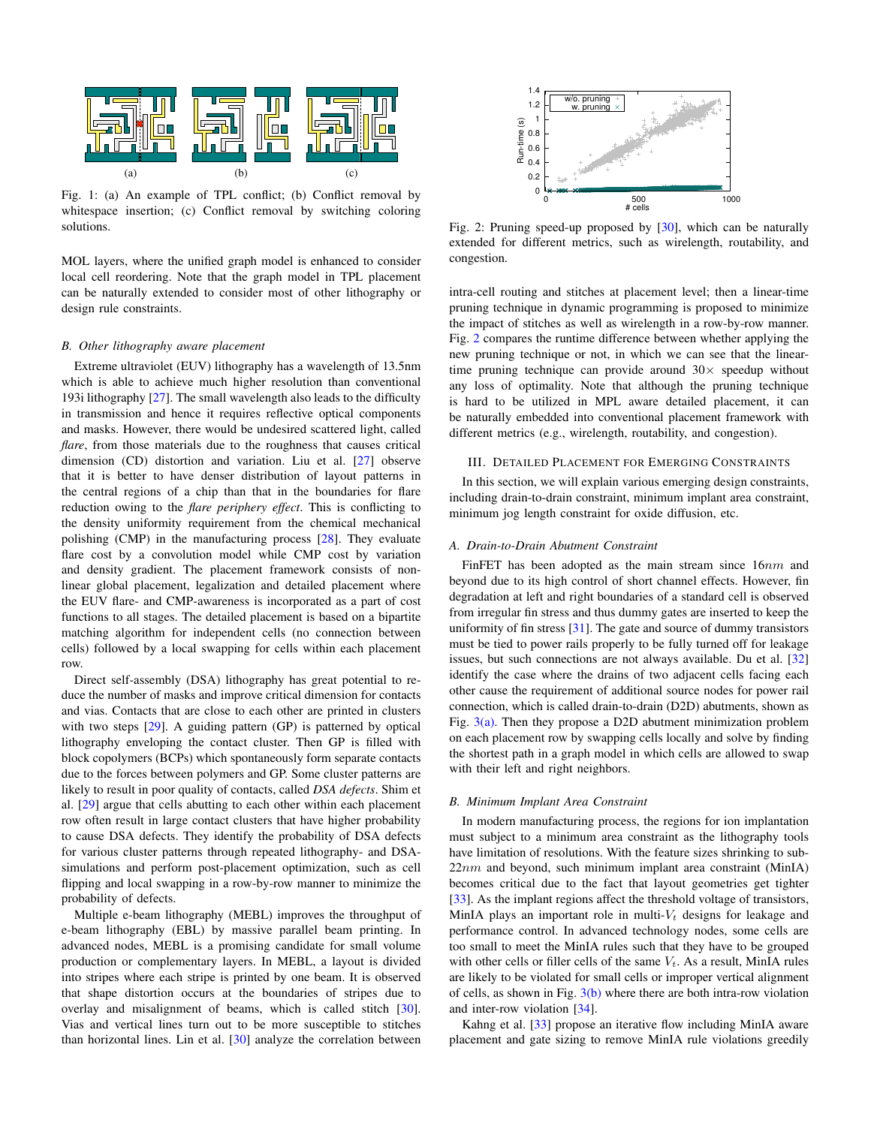<span id="page-1-2"></span><span id="page-1-1"></span>

Fig. 1: (a) An example of TPL conflict; (b) Conflict removal by whitespace insertion; (c) Conflict removal by switching coloring solutions.

MOL layers, where the unified graph model is enhanced to consider local cell reordering. Note that the graph model in TPL placement can be naturally extended to consider most of other lithography or design rule constraints.

#### *B. Other lithography aware placement*

Extreme ultraviolet (EUV) lithography has a wavelength of 13.5nm which is able to achieve much higher resolution than conventional 193i lithography [\[27\]](#page-3-21). The small wavelength also leads to the difficulty in transmission and hence it requires reflective optical components and masks. However, there would be undesired scattered light, called *flare*, from those materials due to the roughness that causes critical dimension (CD) distortion and variation. Liu et al. [\[27\]](#page-3-21) observe that it is better to have denser distribution of layout patterns in the central regions of a chip than that in the boundaries for flare reduction owing to the *flare periphery effect*. This is conflicting to the density uniformity requirement from the chemical mechanical polishing (CMP) in the manufacturing process [\[28\]](#page-3-22). They evaluate flare cost by a convolution model while CMP cost by variation and density gradient. The placement framework consists of nonlinear global placement, legalization and detailed placement where the EUV flare- and CMP-awareness is incorporated as a part of cost functions to all stages. The detailed placement is based on a bipartite matching algorithm for independent cells (no connection between cells) followed by a local swapping for cells within each placement row.

Direct self-assembly (DSA) lithography has great potential to reduce the number of masks and improve critical dimension for contacts and vias. Contacts that are close to each other are printed in clusters with two steps [\[29\]](#page-3-23). A guiding pattern (GP) is patterned by optical lithography enveloping the contact cluster. Then GP is filled with block copolymers (BCPs) which spontaneously form separate contacts due to the forces between polymers and GP. Some cluster patterns are likely to result in poor quality of contacts, called *DSA defects*. Shim et al. [\[29\]](#page-3-23) argue that cells abutting to each other within each placement row often result in large contact clusters that have higher probability to cause DSA defects. They identify the probability of DSA defects for various cluster patterns through repeated lithography- and DSAsimulations and perform post-placement optimization, such as cell flipping and local swapping in a row-by-row manner to minimize the probability of defects.

Multiple e-beam lithography (MEBL) improves the throughput of e-beam lithography (EBL) by massive parallel beam printing. In advanced nodes, MEBL is a promising candidate for small volume production or complementary layers. In MEBL, a layout is divided into stripes where each stripe is printed by one beam. It is observed that shape distortion occurs at the boundaries of stripes due to overlay and misalignment of beams, which is called stitch [\[30\]](#page-3-24). Vias and vertical lines turn out to be more susceptible to stitches than horizontal lines. Lin et al. [\[30\]](#page-3-24) analyze the correlation between

<span id="page-1-4"></span>

<span id="page-1-3"></span>Fig. 2: Pruning speed-up proposed by [\[30\]](#page-3-24), which can be naturally extended for different metrics, such as wirelength, routability, and congestion.

intra-cell routing and stitches at placement level; then a linear-time pruning technique in dynamic programming is proposed to minimize the impact of stitches as well as wirelength in a row-by-row manner. Fig. [2](#page-1-4) compares the runtime difference between whether applying the new pruning technique or not, in which we can see that the lineartime pruning technique can provide around  $30\times$  speedup without any loss of optimality. Note that although the pruning technique is hard to be utilized in MPL aware detailed placement, it can be naturally embedded into conventional placement framework with different metrics (e.g., wirelength, routability, and congestion).

# <span id="page-1-0"></span>III. DETAILED PLACEMENT FOR EMERGING CONSTRAINTS

In this section, we will explain various emerging design constraints, including drain-to-drain constraint, minimum implant area constraint, minimum jog length constraint for oxide diffusion, etc.

#### <span id="page-1-5"></span>*A. Drain-to-Drain Abutment Constraint*

FinFET has been adopted as the main stream since 16nm and beyond due to its high control of short channel effects. However, fin degradation at left and right boundaries of a standard cell is observed from irregular fin stress and thus dummy gates are inserted to keep the uniformity of fin stress [\[31\]](#page-3-25). The gate and source of dummy transistors must be tied to power rails properly to be fully turned off for leakage issues, but such connections are not always available. Du et al. [\[32\]](#page-3-26) identify the case where the drains of two adjacent cells facing each other cause the requirement of additional source nodes for power rail connection, which is called drain-to-drain (D2D) abutments, shown as Fig.  $3(a)$ . Then they propose a D2D abutment minimization problem on each placement row by swapping cells locally and solve by finding the shortest path in a graph model in which cells are allowed to swap with their left and right neighbors.

#### *B. Minimum Implant Area Constraint*

In modern manufacturing process, the regions for ion implantation must subject to a minimum area constraint as the lithography tools have limitation of resolutions. With the feature sizes shrinking to sub- $22nm$  and beyond, such minimum implant area constraint (MinIA) becomes critical due to the fact that layout geometries get tighter [\[33\]](#page-3-27). As the implant regions affect the threshold voltage of transistors, MinIA plays an important role in multi- $V_t$  designs for leakage and performance control. In advanced technology nodes, some cells are too small to meet the MinIA rules such that they have to be grouped with other cells or filler cells of the same  $V_t$ . As a result, MinIA rules are likely to be violated for small cells or improper vertical alignment of cells, as shown in Fig.  $3(b)$  where there are both intra-row violation and inter-row violation [\[34\]](#page-3-28).

Kahng et al. [\[33\]](#page-3-27) propose an iterative flow including MinIA aware placement and gate sizing to remove MinIA rule violations greedily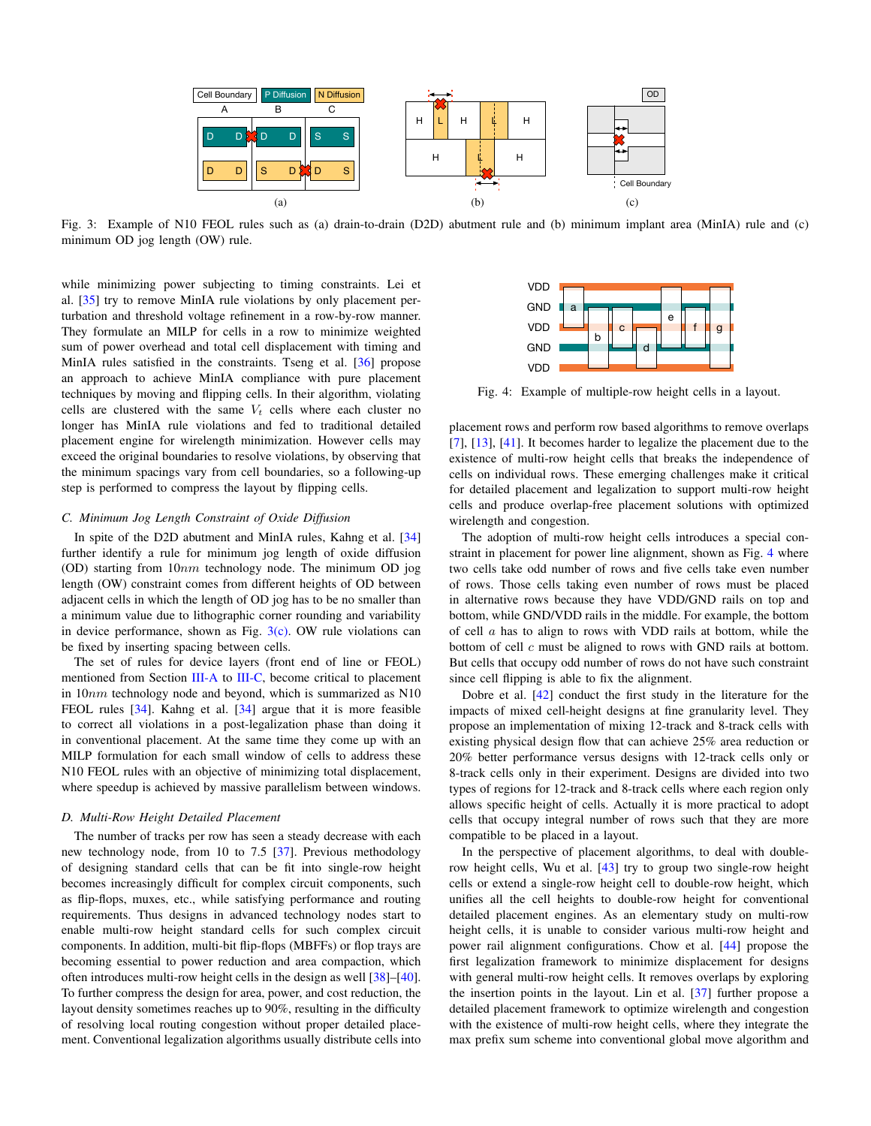<span id="page-2-0"></span>

Fig. 3: Example of N10 FEOL rules such as (a) drain-to-drain (D2D) abutment rule and (b) minimum implant area (MinIA) rule and (c) minimum OD jog length (OW) rule.

while minimizing power subjecting to timing constraints. Lei et al. [\[35\]](#page-3-29) try to remove MinIA rule violations by only placement perturbation and threshold voltage refinement in a row-by-row manner. They formulate an MILP for cells in a row to minimize weighted sum of power overhead and total cell displacement with timing and MinIA rules satisfied in the constraints. Tseng et al. [\[36\]](#page-3-30) propose an approach to achieve MinIA compliance with pure placement techniques by moving and flipping cells. In their algorithm, violating cells are clustered with the same  $V_t$  cells where each cluster no longer has MinIA rule violations and fed to traditional detailed placement engine for wirelength minimization. However cells may exceed the original boundaries to resolve violations, by observing that the minimum spacings vary from cell boundaries, so a following-up step is performed to compress the layout by flipping cells.

## <span id="page-2-3"></span>*C. Minimum Jog Length Constraint of Oxide Diffusion*

In spite of the D2D abutment and MinIA rules, Kahng et al. [\[34\]](#page-3-28) further identify a rule for minimum jog length of oxide diffusion (OD) starting from 10nm technology node. The minimum OD jog length (OW) constraint comes from different heights of OD between adjacent cells in which the length of OD jog has to be no smaller than a minimum value due to lithographic corner rounding and variability in device performance, shown as Fig.  $3(c)$ . OW rule violations can be fixed by inserting spacing between cells.

The set of rules for device layers (front end of line or FEOL) mentioned from Section [III-A](#page-1-5) to [III-C,](#page-2-3) become critical to placement in 10nm technology node and beyond, which is summarized as N10 FEOL rules [\[34\]](#page-3-28). Kahng et al. [\[34\]](#page-3-28) argue that it is more feasible to correct all violations in a post-legalization phase than doing it in conventional placement. At the same time they come up with an MILP formulation for each small window of cells to address these N10 FEOL rules with an objective of minimizing total displacement, where speedup is achieved by massive parallelism between windows.

#### *D. Multi-Row Height Detailed Placement*

The number of tracks per row has seen a steady decrease with each new technology node, from 10 to 7.5 [\[37\]](#page-3-31). Previous methodology of designing standard cells that can be fit into single-row height becomes increasingly difficult for complex circuit components, such as flip-flops, muxes, etc., while satisfying performance and routing requirements. Thus designs in advanced technology nodes start to enable multi-row height standard cells for such complex circuit components. In addition, multi-bit flip-flops (MBFFs) or flop trays are becoming essential to power reduction and area compaction, which often introduces multi-row height cells in the design as well [\[38\]](#page-3-32)–[\[40\]](#page-3-33). To further compress the design for area, power, and cost reduction, the layout density sometimes reaches up to 90%, resulting in the difficulty of resolving local routing congestion without proper detailed placement. Conventional legalization algorithms usually distribute cells into

<span id="page-2-4"></span><span id="page-2-2"></span><span id="page-2-1"></span>

Fig. 4: Example of multiple-row height cells in a layout.

placement rows and perform row based algorithms to remove overlaps [\[7\]](#page-3-34), [\[13\]](#page-3-6), [\[41\]](#page-3-35). It becomes harder to legalize the placement due to the existence of multi-row height cells that breaks the independence of cells on individual rows. These emerging challenges make it critical for detailed placement and legalization to support multi-row height cells and produce overlap-free placement solutions with optimized wirelength and congestion.

The adoption of multi-row height cells introduces a special constraint in placement for power line alignment, shown as Fig. [4](#page-2-4) where two cells take odd number of rows and five cells take even number of rows. Those cells taking even number of rows must be placed in alternative rows because they have VDD/GND rails on top and bottom, while GND/VDD rails in the middle. For example, the bottom of cell a has to align to rows with VDD rails at bottom, while the bottom of cell c must be aligned to rows with GND rails at bottom. But cells that occupy odd number of rows do not have such constraint since cell flipping is able to fix the alignment.

Dobre et al. [\[42\]](#page-3-36) conduct the first study in the literature for the impacts of mixed cell-height designs at fine granularity level. They propose an implementation of mixing 12-track and 8-track cells with existing physical design flow that can achieve 25% area reduction or 20% better performance versus designs with 12-track cells only or 8-track cells only in their experiment. Designs are divided into two types of regions for 12-track and 8-track cells where each region only allows specific height of cells. Actually it is more practical to adopt cells that occupy integral number of rows such that they are more compatible to be placed in a layout.

In the perspective of placement algorithms, to deal with doublerow height cells, Wu et al. [\[43\]](#page-3-37) try to group two single-row height cells or extend a single-row height cell to double-row height, which unifies all the cell heights to double-row height for conventional detailed placement engines. As an elementary study on multi-row height cells, it is unable to consider various multi-row height and power rail alignment configurations. Chow et al. [\[44\]](#page-3-38) propose the first legalization framework to minimize displacement for designs with general multi-row height cells. It removes overlaps by exploring the insertion points in the layout. Lin et al. [\[37\]](#page-3-31) further propose a detailed placement framework to optimize wirelength and congestion with the existence of multi-row height cells, where they integrate the max prefix sum scheme into conventional global move algorithm and